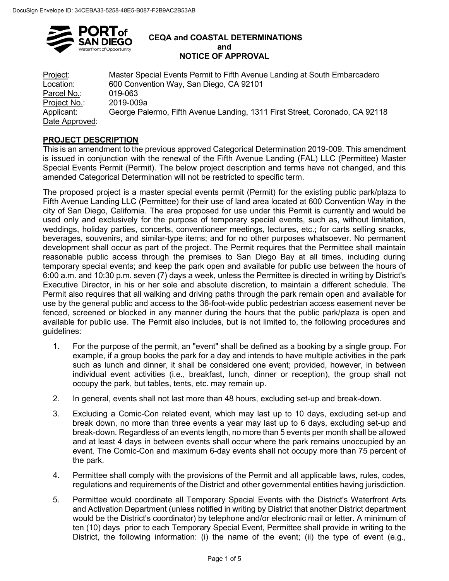

#### **CEQA and COASTAL DETERMINATIONS and NOTICE OF APPROVAL**

Project: Master Special Events Permit to Fifth Avenue Landing at South Embarcadero Location: 600 Convention Way, San Diego, CA 92101 Parcel No.: 019-063 Project No.: 2019-009a George Palermo, Fifth Avenue Landing, 1311 First Street, Coronado, CA 92118 Date Approved:

# **PROJECT DESCRIPTION**

This is an amendment to the previous approved Categorical Determination 2019-009. This amendment is issued in conjunction with the renewal of the Fifth Avenue Landing (FAL) LLC (Permittee) Master Special Events Permit (Permit). The below project description and terms have not changed, and this amended Categorical Determination will not be restricted to specific term.

The proposed project is a master special events permit (Permit) for the existing public park/plaza to Fifth Avenue Landing LLC (Permittee) for their use of land area located at 600 Convention Way in the city of San Diego, California. The area proposed for use under this Permit is currently and would be used only and exclusively for the purpose of temporary special events, such as, without limitation, weddings, holiday parties, concerts, conventioneer meetings, lectures, etc.; for carts selling snacks, beverages, souvenirs, and similar-type items; and for no other purposes whatsoever. No permanent development shall occur as part of the project. The Permit requires that the Permittee shall maintain reasonable public access through the premises to San Diego Bay at all times, including during temporary special events; and keep the park open and available for public use between the hours of 6:00 a.m. and 10:30 p.m. seven (7) days a week, unless the Permittee is directed in writing by District's Executive Director, in his or her sole and absolute discretion, to maintain a different schedule. The Permit also requires that all walking and driving paths through the park remain open and available for use by the general public and access to the 36-foot-wide public pedestrian access easement never be fenced, screened or blocked in any manner during the hours that the public park/plaza is open and available for public use. The Permit also includes, but is not limited to, the following procedures and guidelines:

- 1. For the purpose of the permit, an "event" shall be defined as a booking by a single group. For example, if a group books the park for a day and intends to have multiple activities in the park such as lunch and dinner, it shall be considered one event; provided, however, in between individual event activities (i.e., breakfast, lunch, dinner or reception), the group shall not occupy the park, but tables, tents, etc. may remain up.
- 2. In general, events shall not last more than 48 hours, excluding set-up and break-down.
- 3. Excluding a Comic-Con related event, which may last up to 10 days, excluding set-up and break down, no more than three events a year may last up to 6 days, excluding set-up and break-down. Regardless of an events length, no more than 5 events per month shall be allowed and at least 4 days in between events shall occur where the park remains unoccupied by an event. The Comic-Con and maximum 6-day events shall not occupy more than 75 percent of the park.
- 4. Permittee shall comply with the provisions of the Permit and all applicable laws, rules, codes, regulations and requirements of the District and other governmental entities having jurisdiction.
- 5. Permittee would coordinate all Temporary Special Events with the District's Waterfront Arts and Activation Department (unless notified in writing by District that another District department would be the District's coordinator) by telephone and/or electronic mail or letter. A minimum of ten (10) days prior to each Temporary Special Event, Permittee shall provide in writing to the District, the following information: (i) the name of the event; (ii) the type of event (e.g.,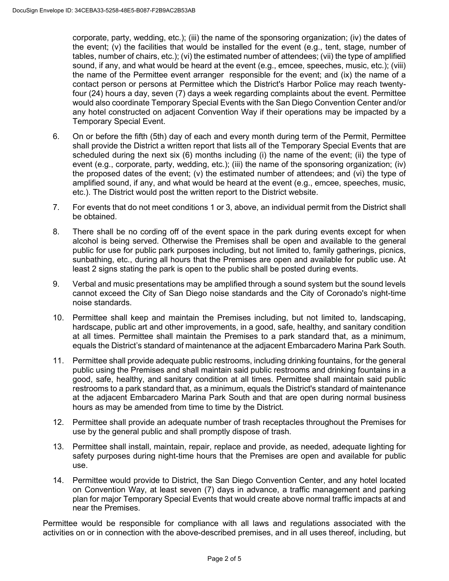corporate, party, wedding, etc.); (iii) the name of the sponsoring organization; (iv) the dates of the event; (v) the facilities that would be installed for the event (e.g., tent, stage, number of tables, number of chairs, etc.); (vi) the estimated number of attendees; (vii) the type of amplified sound, if any, and what would be heard at the event (e.g., emcee, speeches, music, etc.); (viii) the name of the Permittee event arranger responsible for the event; and (ix) the name of a contact person or persons at Permittee which the District's Harbor Police may reach twentyfour (24) hours a day, seven (7) days a week regarding complaints about the event. Permittee would also coordinate Temporary Special Events with the San Diego Convention Center and/or any hotel constructed on adjacent Convention Way if their operations may be impacted by a Temporary Special Event.

- 6. On or before the fifth (5th) day of each and every month during term of the Permit, Permittee shall provide the District a written report that lists all of the Temporary Special Events that are scheduled during the next six (6) months including (i) the name of the event; (ii) the type of event (e.g., corporate, party, wedding, etc.); (iii) the name of the sponsoring organization; (iv) the proposed dates of the event; (v) the estimated number of attendees; and (vi) the type of amplified sound, if any, and what would be heard at the event (e.g., emcee, speeches, music, etc.). The District would post the written report to the District website.
- 7. For events that do not meet conditions 1 or 3, above, an individual permit from the District shall be obtained.
- 8. There shall be no cording off of the event space in the park during events except for when alcohol is being served. Otherwise the Premises shall be open and available to the general public for use for public park purposes including, but not limited to, family gatherings, picnics, sunbathing, etc., during all hours that the Premises are open and available for public use. At least 2 signs stating the park is open to the public shall be posted during events.
- 9. Verbal and music presentations may be amplified through a sound system but the sound levels cannot exceed the City of San Diego noise standards and the City of Coronado's night-time noise standards.
- 10. Permittee shall keep and maintain the Premises including, but not limited to, landscaping, hardscape, public art and other improvements, in a good, safe, healthy, and sanitary condition at all times. Permittee shall maintain the Premises to a park standard that, as a minimum, equals the District's standard of maintenance at the adjacent Embarcadero Marina Park South.
- 11. Permittee shall provide adequate public restrooms, including drinking fountains, for the general public using the Premises and shall maintain said public restrooms and drinking fountains in a good, safe, healthy, and sanitary condition at all times. Permittee shall maintain said public restrooms to a park standard that, as a minimum, equals the District's standard of maintenance at the adjacent Embarcadero Marina Park South and that are open during normal business hours as may be amended from time to time by the District.
- 12. Permittee shall provide an adequate number of trash receptacles throughout the Premises for use by the general public and shall promptly dispose of trash.
- 13. Permittee shall install, maintain, repair, replace and provide, as needed, adequate lighting for safety purposes during night-time hours that the Premises are open and available for public use.
- 14. Permittee would provide to District, the San Diego Convention Center, and any hotel located on Convention Way, at least seven (7) days in advance, a traffic management and parking plan for major Temporary Special Events that would create above normal traffic impacts at and near the Premises.

Permittee would be responsible for compliance with all laws and regulations associated with the activities on or in connection with the above-described premises, and in all uses thereof, including, but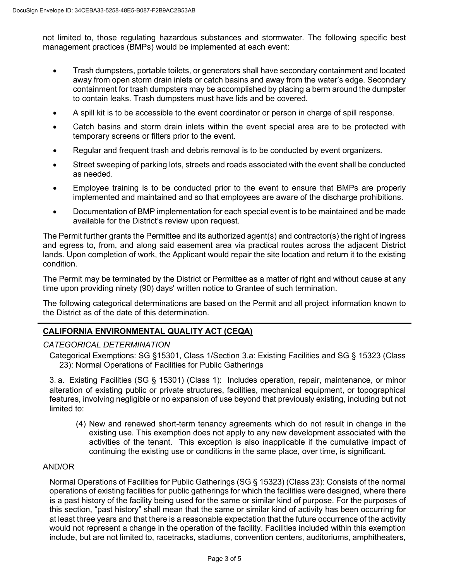not limited to, those regulating hazardous substances and stormwater. The following specific best management practices (BMPs) would be implemented at each event:

- Trash dumpsters, portable toilets, or generators shall have secondary containment and located away from open storm drain inlets or catch basins and away from the water's edge. Secondary containment for trash dumpsters may be accomplished by placing a berm around the dumpster to contain leaks. Trash dumpsters must have lids and be covered.
- A spill kit is to be accessible to the event coordinator or person in charge of spill response.
- Catch basins and storm drain inlets within the event special area are to be protected with temporary screens or filters prior to the event.
- Regular and frequent trash and debris removal is to be conducted by event organizers.
- Street sweeping of parking lots, streets and roads associated with the event shall be conducted as needed.
- Employee training is to be conducted prior to the event to ensure that BMPs are properly implemented and maintained and so that employees are aware of the discharge prohibitions.
- Documentation of BMP implementation for each special event is to be maintained and be made available for the District's review upon request.

The Permit further grants the Permittee and its authorized agent(s) and contractor(s) the right of ingress and egress to, from, and along said easement area via practical routes across the adjacent District lands. Upon completion of work, the Applicant would repair the site location and return it to the existing condition.

The Permit may be terminated by the District or Permittee as a matter of right and without cause at any time upon providing ninety (90) days' written notice to Grantee of such termination.

The following categorical determinations are based on the Permit and all project information known to the District as of the date of this determination.

## **CALIFORNIA ENVIRONMENTAL QUALITY ACT (CEQA)**

#### *CATEGORICAL DETERMINATION*

Categorical Exemptions: SG §15301, Class 1/Section 3.a: Existing Facilities and SG § 15323 (Class 23): Normal Operations of Facilities for Public Gatherings

3. a. Existing Facilities (SG § 15301) (Class 1): Includes operation, repair, maintenance, or minor alteration of existing public or private structures, facilities, mechanical equipment, or topographical features, involving negligible or no expansion of use beyond that previously existing, including but not limited to:

(4) New and renewed short-term tenancy agreements which do not result in change in the existing use. This exemption does not apply to any new development associated with the activities of the tenant. This exception is also inapplicable if the cumulative impact of continuing the existing use or conditions in the same place, over time, is significant.

#### AND/OR

Normal Operations of Facilities for Public Gatherings (SG § 15323) (Class 23): Consists of the normal operations of existing facilities for public gatherings for which the facilities were designed, where there is a past history of the facility being used for the same or similar kind of purpose. For the purposes of this section, "past history" shall mean that the same or similar kind of activity has been occurring for at least three years and that there is a reasonable expectation that the future occurrence of the activity would not represent a change in the operation of the facility. Facilities included within this exemption include, but are not limited to, racetracks, stadiums, convention centers, auditoriums, amphitheaters,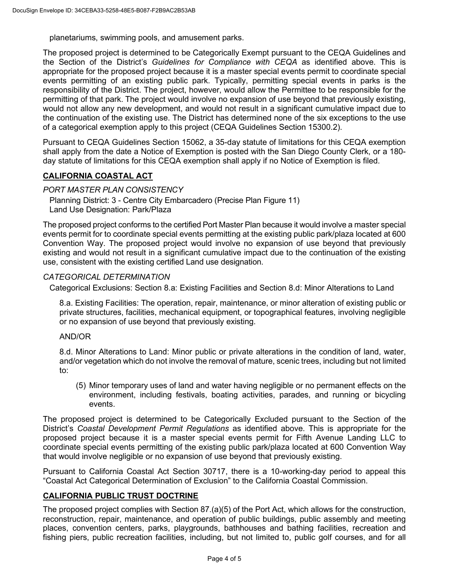planetariums, swimming pools, and amusement parks.

The proposed project is determined to be Categorically Exempt pursuant to the CEQA Guidelines and the Section of the District's *Guidelines for Compliance with CEQA* as identified above. This is appropriate for the proposed project because it is a master special events permit to coordinate special events permitting of an existing public park. Typically, permitting special events in parks is the responsibility of the District. The project, however, would allow the Permittee to be responsible for the permitting of that park. The project would involve no expansion of use beyond that previously existing, would not allow any new development, and would not result in a significant cumulative impact due to the continuation of the existing use. The District has determined none of the six exceptions to the use of a categorical exemption apply to this project (CEQA Guidelines Section 15300.2).

Pursuant to CEQA Guidelines Section 15062, a 35-day statute of limitations for this CEQA exemption shall apply from the date a Notice of Exemption is posted with the San Diego County Clerk, or a 180 day statute of limitations for this CEQA exemption shall apply if no Notice of Exemption is filed.

## **CALIFORNIA COASTAL ACT**

*PORT MASTER PLAN CONSISTENCY*

Planning District: 3 - Centre City Embarcadero (Precise Plan Figure 11) Land Use Designation: Park/Plaza

The proposed project conforms to the certified Port Master Plan because it would involve a master special events permit for to coordinate special events permitting at the existing public park/plaza located at 600 Convention Way. The proposed project would involve no expansion of use beyond that previously existing and would not result in a significant cumulative impact due to the continuation of the existing use, consistent with the existing certified Land use designation.

### *CATEGORICAL DETERMINATION*

Categorical Exclusions: Section 8.a: Existing Facilities and Section 8.d: Minor Alterations to Land

8.a. Existing Facilities: The operation, repair, maintenance, or minor alteration of existing public or private structures, facilities, mechanical equipment, or topographical features, involving negligible or no expansion of use beyond that previously existing.

#### AND/OR

8.d. Minor Alterations to Land: Minor public or private alterations in the condition of land, water, and/or vegetation which do not involve the removal of mature, scenic trees, including but not limited to:

(5) Minor temporary uses of land and water having negligible or no permanent effects on the environment, including festivals, boating activities, parades, and running or bicycling events.

The proposed project is determined to be Categorically Excluded pursuant to the Section of the District's *Coastal Development Permit Regulations* as identified above. This is appropriate for the proposed project because it is a master special events permit for Fifth Avenue Landing LLC to coordinate special events permitting of the existing public park/plaza located at 600 Convention Way that would involve negligible or no expansion of use beyond that previously existing.

Pursuant to California Coastal Act Section 30717, there is a 10-working-day period to appeal this "Coastal Act Categorical Determination of Exclusion" to the California Coastal Commission.

## **CALIFORNIA PUBLIC TRUST DOCTRINE**

The proposed project complies with Section 87.(a)(5) of the Port Act, which allows for the construction, reconstruction, repair, maintenance, and operation of public buildings, public assembly and meeting places, convention centers, parks, playgrounds, bathhouses and bathing facilities, recreation and fishing piers, public recreation facilities, including, but not limited to, public golf courses, and for all